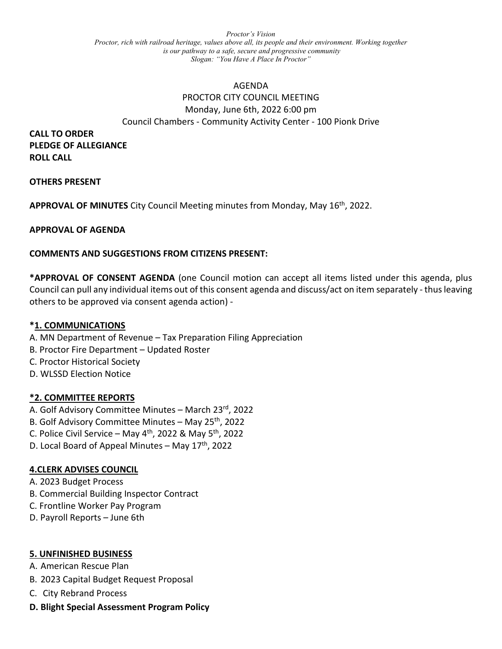*Proctor's Vision Proctor, rich with railroad heritage, values above all, its people and their environment. Working together is our pathway to a safe, secure and progressive community Slogan: "You Have A Place In Proctor"*

# AGENDA PROCTOR CITY COUNCIL MEETING Monday, June 6th, 2022 6:00 pm Council Chambers - Community Activity Center - 100 Pionk Drive

**CALL TO ORDER PLEDGE OF ALLEGIANCE ROLL CALL**

## **OTHERS PRESENT**

**APPROVAL OF MINUTES** City Council Meeting minutes from Monday, May 16th, 2022.

### **APPROVAL OF AGENDA**

## **COMMENTS AND SUGGESTIONS FROM CITIZENS PRESENT:**

**\*APPROVAL OF CONSENT AGENDA** (one Council motion can accept all items listed under this agenda, plus Council can pull any individual items out of this consent agenda and discuss/act on item separately - thus leaving others to be approved via consent agenda action) -

### **\*1. COMMUNICATIONS**

- A. MN Department of Revenue Tax Preparation Filing Appreciation
- B. Proctor Fire Department Updated Roster
- C. Proctor Historical Society
- D. WLSSD Election Notice

### **\*2. COMMITTEE REPORTS**

- A. Golf Advisory Committee Minutes March 23rd, 2022
- B. Golf Advisory Committee Minutes May 25<sup>th</sup>, 2022
- C. Police Civil Service May  $4^{th}$ , 2022 & May  $5^{th}$ , 2022
- D. Local Board of Appeal Minutes May  $17<sup>th</sup>$ , 2022

### **4.CLERK ADVISES COUNCIL**

- A. 2023 Budget Process
- B. Commercial Building Inspector Contract
- C. Frontline Worker Pay Program
- D. Payroll Reports June 6th

### **5. UNFINISHED BUSINESS**

- A. American Rescue Plan
- B. 2023 Capital Budget Request Proposal
- C. City Rebrand Process

### **D. Blight Special Assessment Program Policy**